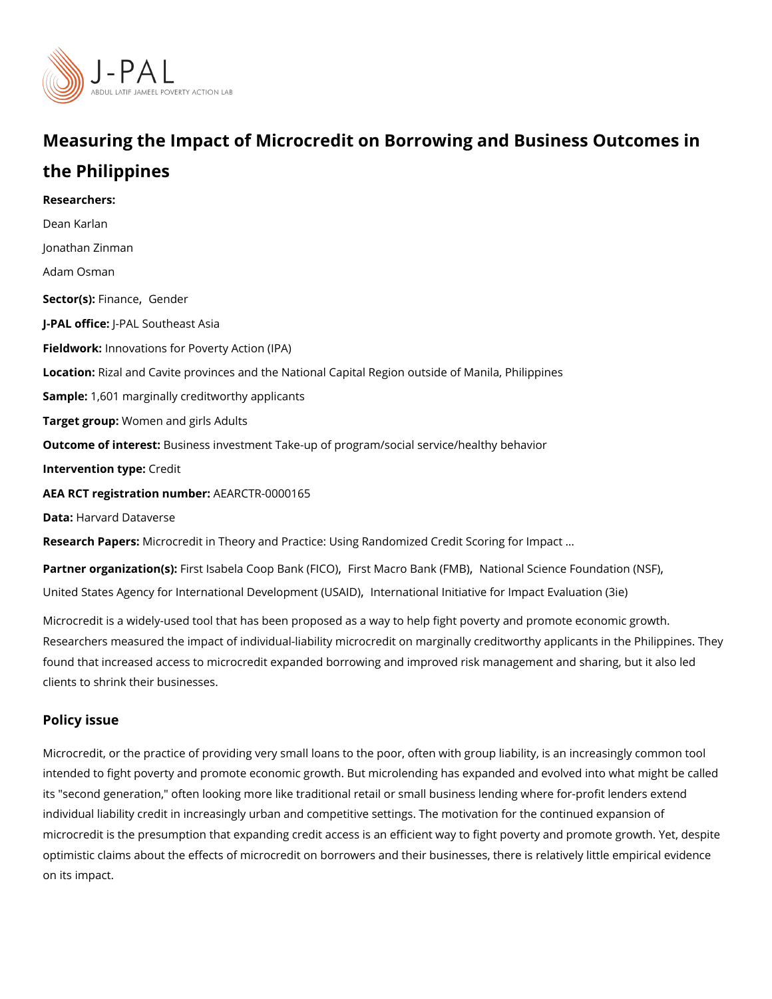# Measuring the Impact of Microcredit on Borrowing and Busin the Philippines

Researchers: [Dean Ka](https://www.povertyactionlab.org/person/karlan)rlan [Jonathan Z](https://www.povertyactionlab.org/person/zinman)inman [Adam Os](https://www.povertyactionlab.org/person/osman)man  $S$ ector(Fsi)n a n[,](https://www.povertyactionlab.org/sector/finance) c $G$ ender J-PAL of tic Peal Southeast Asia Fieldworkhovations for Poverty Action (IPA) LocatioRizal and Cavite provinces and the National Capital Region outside of Manila, Phil Sample: 601 marginally creditworthy applicants Target grow po: men and girls Adults Outcome of inteBastness investment Take-up of program/social service/healthy behavior Intervention t**Cpedit** AEA RCT registration ArEuAnRbCeTR-0000165 Data[Harvard Data](https://dataverse.harvard.edu/dataset.xhtml?persistentId=doi:10.7910/DVN/STTNUF)verse Research PaMecsocredit in Theory and Practice: Using Randomized Credit Scoring for Impa

Partner organizathöms(ts)sabela Coop Baniks (FMIGOr)o Bank Nati Mabal Science Foundation (NSF) [United States Agency for International](https://www.povertyactionlab.org/partners/united-states-agency-international-development-usaid) Denteelronpantieomta (USAIDt) [,](https://www.povertyactionlab.org/partners/united-states-agency-international-development-usaid) In Impact Evaluation (3ie

Microcredit is a widely-used tool that has been proposed as a way to help fight poverty and Researchers measured the impact of individual-liability microcredit on marginally creditworthy found that increased access to microcredit expanded borrowing and improved risk manage clients to shrink their businesses.

#### Policy issue

Microcredit, or the practice of providing very small loans to the poor, often with group lia intended to fight poverty and promote economic growth. But microlending has expanded an its "second generation," often looking more like traditional retail or small business lendir individual liability credit in increasingly urban and competitive settings. The motivation f microcredit is the presumption that expanding credit access is an efficient way to fight po optimistic claims about the effects of microcredit on borrowers and their businesses, ther on its impact.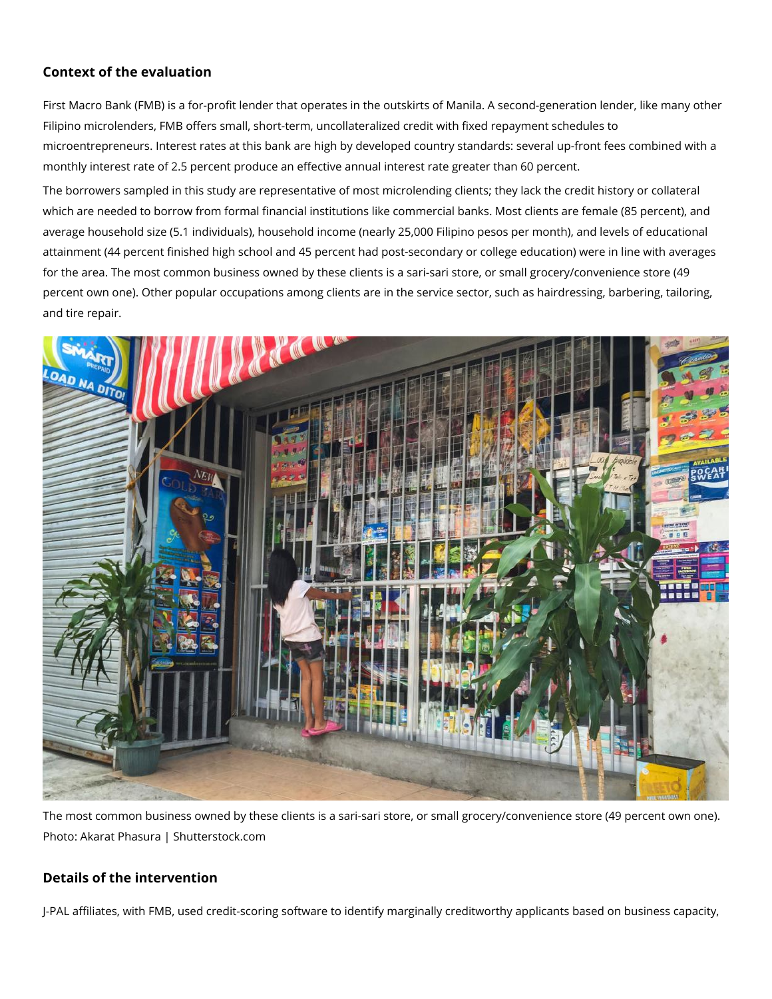### **Context of the evaluation**

First Macro Bank (FMB) is a for-profit lender that operates in the outskirts of Manila. A second-generation lender, like many other Filipino microlenders, FMB offers small, short-term, uncollateralized credit with fixed repayment schedules to microentrepreneurs. Interest rates at this bank are high by developed country standards: several up-front fees combined with a monthly interest rate of 2.5 percent produce an effective annual interest rate greater than 60 percent.

The borrowers sampled in this study are representative of most microlending clients; they lack the credit history or collateral which are needed to borrow from formal financial institutions like commercial banks. Most clients are female (85 percent), and average household size (5.1 individuals), household income (nearly 25,000 Filipino pesos per month), and levels of educational attainment (44 percent finished high school and 45 percent had post-secondary or college education) were in line with averages for the area. The most common business owned by these clients is a sari-sari store, or small grocery/convenience store (49 percent own one). Other popular occupations among clients are in the service sector, such as hairdressing, barbering, tailoring, and tire repair.



The most common business owned by these clients is a sari-sari store, or small grocery/convenience store (49 percent own one). Photo: Akarat Phasura | Shutterstock.com

## **Details of the intervention**

J-PAL affiliates, with FMB, used credit-scoring software to identify marginally creditworthy applicants based on business capacity,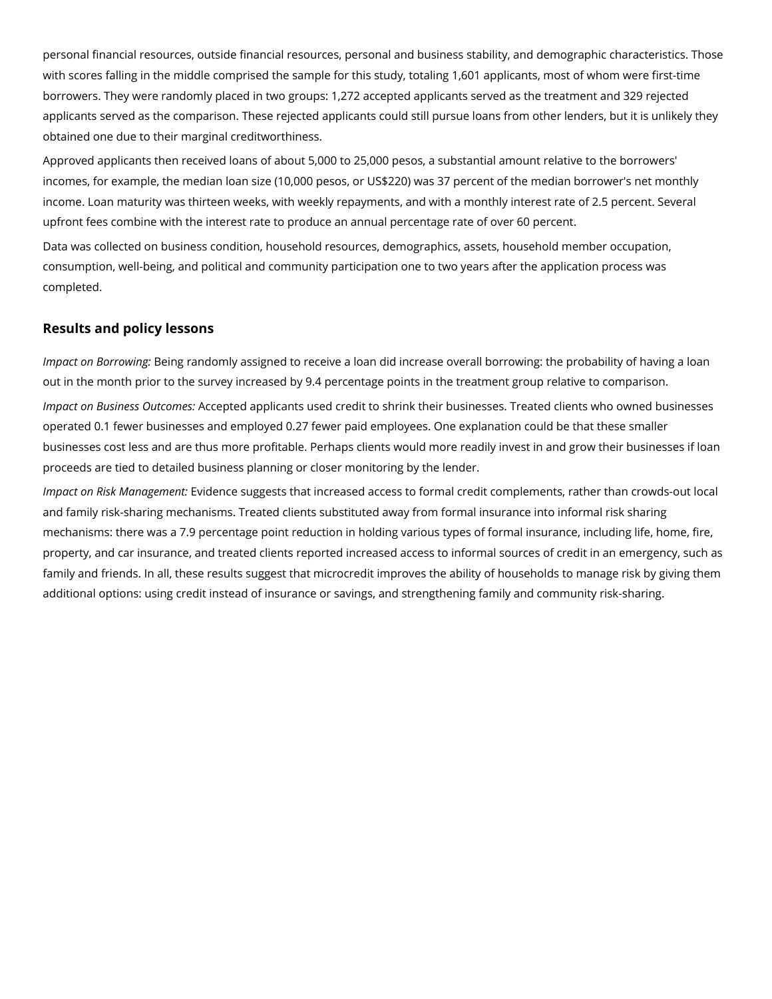personal financial resources, outside financial resources, personal and business stability, and demographic characteristics. Those with scores falling in the middle comprised the sample for this study, totaling 1,601 applicants, most of whom were first-time borrowers. They were randomly placed in two groups: 1,272 accepted applicants served as the treatment and 329 rejected applicants served as the comparison. These rejected applicants could still pursue loans from other lenders, but it is unlikely they obtained one due to their marginal creditworthiness.

Approved applicants then received loans of about 5,000 to 25,000 pesos, a substantial amount relative to the borrowers' incomes, for example, the median loan size (10,000 pesos, or US\$220) was 37 percent of the median borrower's net monthly income. Loan maturity was thirteen weeks, with weekly repayments, and with a monthly interest rate of 2.5 percent. Several upfront fees combine with the interest rate to produce an annual percentage rate of over 60 percent.

Data was collected on business condition, household resources, demographics, assets, household member occupation, consumption, well-being, and political and community participation one to two years after the application process was completed.

#### **Results and policy lessons**

*Impact on Borrowing:* Being randomly assigned to receive a loan did increase overall borrowing: the probability of having a loan out in the month prior to the survey increased by 9.4 percentage points in the treatment group relative to comparison.

*Impact on Business Outcomes:* Accepted applicants used credit to shrink their businesses. Treated clients who owned businesses operated 0.1 fewer businesses and employed 0.27 fewer paid employees. One explanation could be that these smaller businesses cost less and are thus more profitable. Perhaps clients would more readily invest in and grow their businesses if loan proceeds are tied to detailed business planning or closer monitoring by the lender.

*Impact on Risk Management:* Evidence suggests that increased access to formal credit complements, rather than crowds-out local and family risk-sharing mechanisms. Treated clients substituted away from formal insurance into informal risk sharing mechanisms: there was a 7.9 percentage point reduction in holding various types of formal insurance, including life, home, fire, property, and car insurance, and treated clients reported increased access to informal sources of credit in an emergency, such as family and friends. In all, these results suggest that microcredit improves the ability of households to manage risk by giving them additional options: using credit instead of insurance or savings, and strengthening family and community risk-sharing.